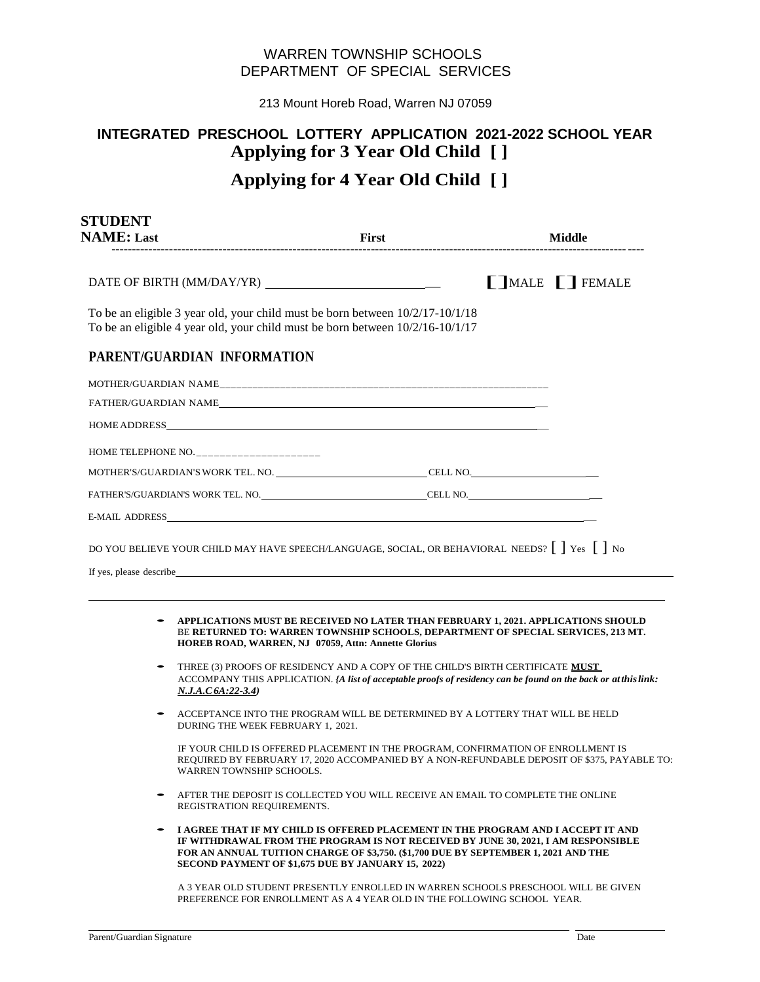## WARREN TOWNSHIP SCHOOLS DEPARTMENT OF SPECIAL SERVICES

213 Mount Horeb Road, Warren NJ 07059

# **INTEGRATED PRESCHOOL LOTTERY APPLICATION 2021-2022 SCHOOL YEAR Applying for 3 Year Old Child [ ]**

## **Applying for 4 Year Old Child [ ]**

| <b>STUDENT</b><br><b>NAME: Last</b>                                                                                                                              | First | Middle |                        |
|------------------------------------------------------------------------------------------------------------------------------------------------------------------|-------|--------|------------------------|
|                                                                                                                                                                  |       |        | <b>TIMALE</b> T FEMALE |
| To be an eligible 3 year old, your child must be born between $10/2/17-10/1/18$<br>To be an eligible 4 year old, your child must be born between 10/2/16-10/1/17 |       |        |                        |
| PARENT/GUARDIAN INFORMATION                                                                                                                                      |       |        |                        |
|                                                                                                                                                                  |       |        |                        |
|                                                                                                                                                                  |       |        |                        |
|                                                                                                                                                                  |       |        |                        |
| HOME TELEPHONE NO. ______________________                                                                                                                        |       |        |                        |
|                                                                                                                                                                  |       |        |                        |
|                                                                                                                                                                  |       |        |                        |
|                                                                                                                                                                  |       |        |                        |
| DO YOU BELIEVE YOUR CHILD MAY HAVE SPEECH/LANGUAGE, SOCIAL, OR BEHAVIORAL NEEDS? [ ] Yes [ ] No                                                                  |       |        |                        |

- - **APPLICATIONS MUST BE RECEIVED NO LATER THAN FEBRUARY 1, 2021. APPLICATIONS SHOULD**  BE **RETURNED TO: WARREN TOWNSHIP SCHOOLS, DEPARTMENT OF SPECIAL SERVICES, 213 MT. HOREB ROAD, WARREN, NJ 07059, Attn: Annette Glorius**
	- THREE (3) PROOFS OF RESIDENCY AND A COPY OF THE CHILD'S BIRTH CERTIFICATE **MUST**  ACCOMPANY THIS APPLICATION. *{A list of acceptable proofs of residency can be found on the back or atthislink: N.J.A.C6A:22-3.4)*
	- ACCEPTANCE INTO THE PROGRAM WILL BE DETERMINED BY A LOTTERY THAT WILL BE HELD DURING THE WEEK FEBRUARY 1, 2021.

IF YOUR CHILD IS OFFERED PLACEMENT IN THE PROGRAM, CONFIRMATION OF ENROLLMENT IS REQUIRED BY FEBRUARY 17, 2020 ACCOMPANIED BY A NON-REFUNDABLE DEPOSIT OF \$375, PAYABLE TO: WARREN TOWNSHIP SCHOOLS.

- AFTER THE DEPOSIT IS COLLECTED YOU WILL RECEIVE AN EMAIL TO COMPLETE THE ONLINE REGISTRATION REQUIREMENTS.
- **I AGREE THAT IF MY CHILD IS OFFERED PLACEMENT IN THE PROGRAM AND I ACCEPT IT AND IF WITHDRAWAL FROM THE PROGRAM IS NOT RECEIVED BY JUNE 30, 2021, I AM RESPONSIBLE FOR AN ANNUAL TUITION CHARGE OF \$3,750. (\$1,700 DUE BY SEPTEMBER 1, 2021 AND THE SECOND PAYMENT OF \$1,675 DUE BY JANUARY 15, 2022)**

A 3 YEAR OLD STUDENT PRESENTLY ENROLLED IN WARREN SCHOOLS PRESCHOOL WILL BE GIVEN PREFERENCE FOR ENROLLMENT AS A 4 YEAR OLD IN THE FOLLOWING SCHOOL YEAR.

If yes, please describe